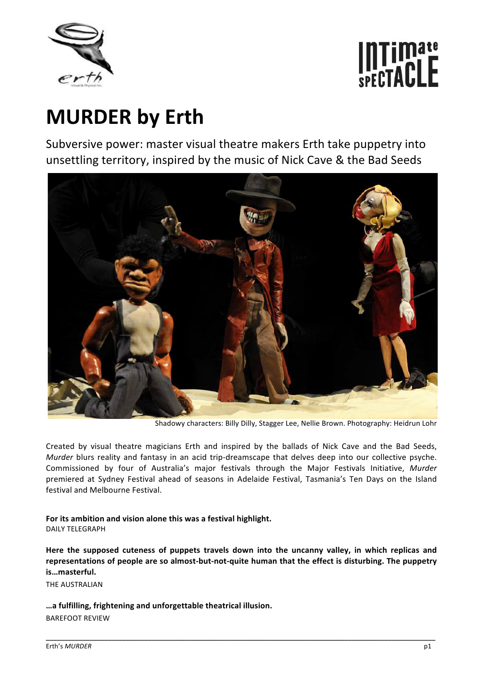

# Intimate<br>spectaclE

# **MURDER by Erth**

Subversive power: master visual theatre makers Erth take puppetry into unsettling territory, inspired by the music of Nick Cave & the Bad Seeds



Shadowy characters: Billy Dilly, Stagger Lee, Nellie Brown. Photography: Heidrun Lohr

Created by visual theatre magicians Erth and inspired by the ballads of Nick Cave and the Bad Seeds, *Murder* blurs reality and fantasy in an acid trip-dreamscape that delves deep into our collective psyche. Commissioned by four of Australia's major festivals through the Major Festivals Initiative, *Murder* premiered at Sydney Festival ahead of seasons in Adelaide Festival, Tasmania's Ten Days on the Island festival and Melbourne Festival.

**For its ambition and vision alone this was a festival highlight.**  DAILY TELEGRAPH

**Here the supposed cuteness of puppets travels down into the uncanny valley, in which replicas and representations of people are so almost‐but‐not‐quite human that the effect is disturbing. The puppetry is…masterful.** 

\_\_\_\_\_\_\_\_\_\_\_\_\_\_\_\_\_\_\_\_\_\_\_\_\_\_\_\_\_\_\_\_\_\_\_\_\_\_\_\_\_\_\_\_\_\_\_\_\_\_\_\_\_\_\_\_\_\_\_\_\_\_\_\_\_\_\_\_\_\_\_\_\_\_\_\_\_\_\_\_\_\_\_\_\_\_\_\_\_\_\_\_\_\_\_\_\_\_\_\_\_\_\_\_\_\_\_

THE AUSTRALIAN

**…a fulfilling, frightening and unforgettable theatrical illusion.** BAREFOOT REVIEW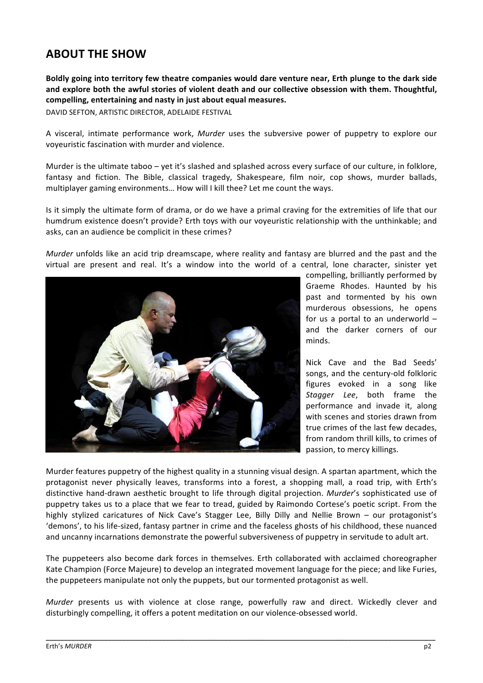# **ABOUT THE SHOW**

**Boldly going into territory few theatre companies would dare venture near, Erth plunge to the dark side and explore both the awful stories of violent death and our collective obsession with them. Thoughtful, compelling, entertaining and nasty in just about equal measures.**

DAVID SEFTON, ARTISTIC DIRECTOR, ADELAIDE FESTIVAL

A visceral, intimate performance work, *Murder* uses the subversive power of puppetry to explore our voyeuristic fascination with murder and violence.

Murder is the ultimate taboo – yet it's slashed and splashed across every surface of our culture, in folklore, fantasy and fiction. The Bible, classical tragedy, Shakespeare, film noir, cop shows, murder ballads, multiplayer gaming environments… How will I kill thee? Let me count the ways.

Is it simply the ultimate form of drama, or do we have a primal craving for the extremities of life that our humdrum existence doesn't provide? Erth toys with our voyeuristic relationship with the unthinkable; and asks, can an audience be complicit in these crimes?

*Murder* unfolds like an acid trip dreamscape, where reality and fantasy are blurred and the past and the virtual are present and real. It's a window into the world of a central, lone character, sinister yet



compelling, brilliantly performed by Graeme Rhodes. Haunted by his past and tormented by his own murderous obsessions, he opens for us a portal to an underworld  $$ and the darker corners of our minds.

Nick Cave and the Bad Seeds' songs, and the century‐old folkloric figures evoked in a song like *Stagger Lee*, both frame the performance and invade it, along with scenes and stories drawn from true crimes of the last few decades, from random thrill kills, to crimes of passion, to mercy killings.

Murder features puppetry of the highest quality in a stunning visual design. A spartan apartment, which the protagonist never physically leaves, transforms into a forest, a shopping mall, a road trip, with Erth's distinctive hand‐drawn aesthetic brought to life through digital projection. *Murder*'s sophisticated use of puppetry takes us to a place that we fear to tread, guided by Raimondo Cortese's poetic script. From the highly stylized caricatures of Nick Cave's Stagger Lee, Billy Dilly and Nellie Brown – our protagonist's 'demons', to his life‐sized, fantasy partner in crime and the faceless ghosts of his childhood, these nuanced and uncanny incarnations demonstrate the powerful subversiveness of puppetry in servitude to adult art.

The puppeteers also become dark forces in themselves. Erth collaborated with acclaimed choreographer Kate Champion (Force Majeure) to develop an integrated movement language for the piece; and like Furies, the puppeteers manipulate not only the puppets, but our tormented protagonist as well.

*Murder* presents us with violence at close range, powerfully raw and direct. Wickedly clever and disturbingly compelling, it offers a potent meditation on our violence‐obsessed world.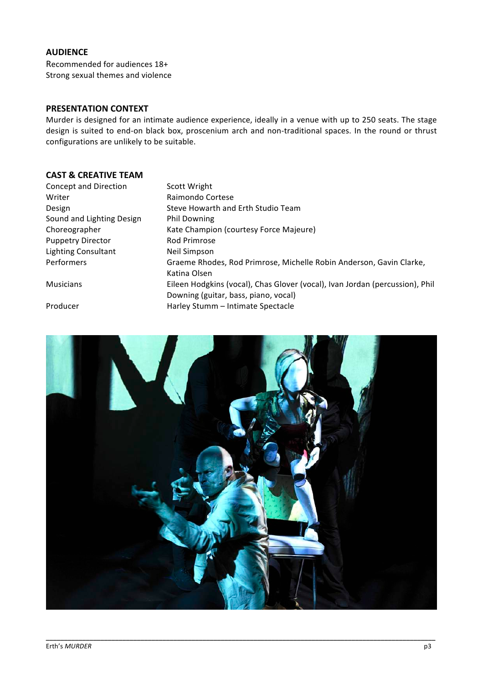#### **AUDIENCE**

Recommended for audiences 18+ Strong sexual themes and violence

#### **PRESENTATION CONTEXT**

Murder is designed for an intimate audience experience, ideally in a venue with up to 250 seats. The stage design is suited to end-on black box, proscenium arch and non-traditional spaces. In the round or thrust configurations are unlikely to be suitable.

#### **CAST & CREATIVE TEAM**

| Concept and Direction      | Scott Wright                                                                                                         |
|----------------------------|----------------------------------------------------------------------------------------------------------------------|
| Writer                     | Raimondo Cortese                                                                                                     |
| Design                     | Steve Howarth and Erth Studio Team                                                                                   |
| Sound and Lighting Design  | <b>Phil Downing</b>                                                                                                  |
| Choreographer              | Kate Champion (courtesy Force Majeure)                                                                               |
| <b>Puppetry Director</b>   | <b>Rod Primrose</b>                                                                                                  |
| <b>Lighting Consultant</b> | Neil Simpson                                                                                                         |
| Performers                 | Graeme Rhodes, Rod Primrose, Michelle Robin Anderson, Gavin Clarke,<br>Katina Olsen                                  |
| <b>Musicians</b>           | Eileen Hodgkins (vocal), Chas Glover (vocal), Ivan Jordan (percussion), Phil<br>Downing (guitar, bass, piano, vocal) |
| Producer                   | Harley Stumm - Intimate Spectacle                                                                                    |

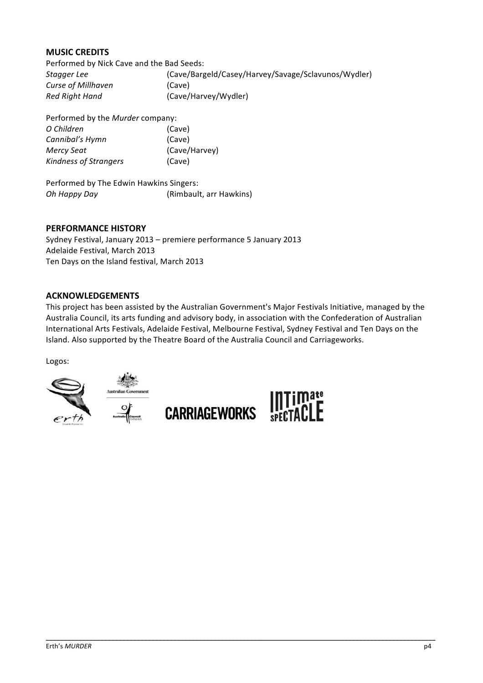#### **MUSIC CREDITS**

Performed by Nick Cave and the Bad Seeds: *Stagger Lee* (Cave/Bargeld/Casey/Harvey/Savage/Sclavunos/Wydler) *Curse of Millhaven* (Cave) *Red Right Hand* (Cave/Harvey/Wydler)

Performed by the *Murder* company: *O Children* (Cave) *Cannibal's Hymn* (Cave) *Mercy Seat* (Cave/Harvey) *Kindness of Strangers* (Cave)

Performed by The Edwin Hawkins Singers: *Oh Happy Day*  (Rimbault, arr Hawkins)

#### **PERFORMANCE HISTORY**

Sydney Festival, January 2013 – premiere performance 5 January 2013 Adelaide Festival, March 2013 Ten Days on the Island festival, March 2013

#### **ACKNOWLEDGEMENTS**

This project has been assisted by the Australian Government's Major Festivals Initiative, managed by the Australia Council, its arts funding and advisory body, in association with the Confederation of Australian International Arts Festivals, Adelaide Festival, Melbourne Festival, Sydney Festival and Ten Days on the Island. Also supported by the Theatre Board of the Australia Council and Carriageworks.

\_\_\_\_\_\_\_\_\_\_\_\_\_\_\_\_\_\_\_\_\_\_\_\_\_\_\_\_\_\_\_\_\_\_\_\_\_\_\_\_\_\_\_\_\_\_\_\_\_\_\_\_\_\_\_\_\_\_\_\_\_\_\_\_\_\_\_\_\_\_\_\_\_\_\_\_\_\_\_\_\_\_\_\_\_\_\_\_\_\_\_\_\_\_\_\_\_\_\_\_\_\_\_\_\_\_\_

Logos:

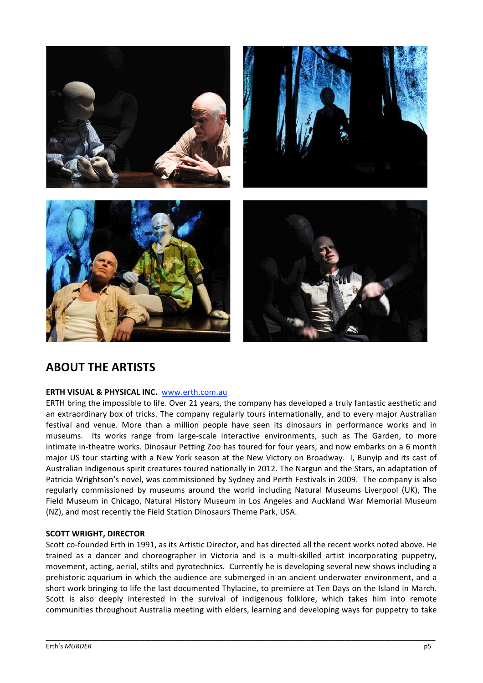

# **ABOUT THE ARTISTS**

#### **ERTH VISUAL & PHYSICAL INC.**  www.erth.com.au

ERTH bring the impossible to life. Over 21 years, the company has developed a truly fantastic aesthetic and an extraordinary box of tricks. The company regularly tours internationally, and to every major Australian festival and venue. More than a million people have seen its dinosaurs in performance works and in museums. Its works range from large-scale interactive environments, such as The Garden, to more intimate in‐theatre works. Dinosaur Petting Zoo has toured for four years, and now embarks on a 6 month major US tour starting with a New York season at the New Victory on Broadway. I, Bunyip and its cast of Australian Indigenous spirit creatures toured nationally in 2012. The Nargun and the Stars, an adaptation of Patricia Wrightson's novel, was commissioned by Sydney and Perth Festivals in 2009. The company is also regularly commissioned by museums around the world including Natural Museums Liverpool (UK), The Field Museum in Chicago, Natural History Museum in Los Angeles and Auckland War Memorial Museum (NZ), and most recently the Field Station Dinosaurs Theme Park, USA.

#### **SCOTT WRIGHT, DIRECTOR**

Scott co-founded Erth in 1991, as its Artistic Director, and has directed all the recent works noted above. He trained as a dancer and choreographer in Victoria and is a multi-skilled artist incorporating puppetry, movement, acting, aerial, stilts and pyrotechnics. Currently he is developing several new shows including a prehistoric aquarium in which the audience are submerged in an ancient underwater environment, and a short work bringing to life the last documented Thylacine, to premiere at Ten Days on the Island in March. Scott is also deeply interested in the survival of indigenous folklore, which takes him into remote communities throughout Australia meeting with elders, learning and developing ways for puppetry to take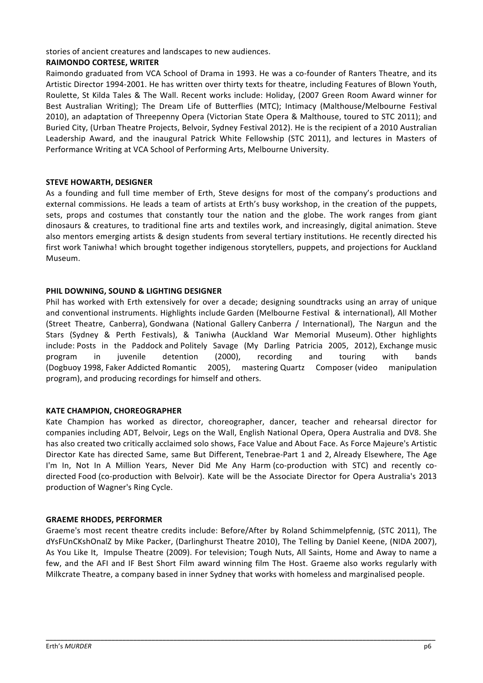stories of ancient creatures and landscapes to new audiences.

#### **RAIMONDO CORTESE, WRITER**

Raimondo graduated from VCA School of Drama in 1993. He was a co-founder of Ranters Theatre, and its Artistic Director 1994‐2001. He has written over thirty texts for theatre, including Features of Blown Youth, Roulette, St Kilda Tales & The Wall. Recent works include: Holiday, (2007 Green Room Award winner for Best Australian Writing); The Dream Life of Butterflies (MTC); Intimacy (Malthouse/Melbourne Festival 2010), an adaptation of Threepenny Opera (Victorian State Opera & Malthouse, toured to STC 2011); and Buried City, (Urban Theatre Projects, Belvoir, Sydney Festival 2012). He is the recipient of a 2010 Australian Leadership Award, and the inaugural Patrick White Fellowship (STC 2011), and lectures in Masters of Performance Writing at VCA School of Performing Arts, Melbourne University.

#### **STEVE HOWARTH, DESIGNER**

As a founding and full time member of Erth, Steve designs for most of the company's productions and external commissions. He leads a team of artists at Erth's busy workshop, in the creation of the puppets, sets, props and costumes that constantly tour the nation and the globe. The work ranges from giant dinosaurs & creatures, to traditional fine arts and textiles work, and increasingly, digital animation. Steve also mentors emerging artists & design students from several tertiary institutions. He recently directed his first work Taniwha! which brought together indigenous storytellers, puppets, and projections for Auckland Museum.

#### **PHIL DOWNING, SOUND & LIGHTING DESIGNER**

Phil has worked with Erth extensively for over a decade; designing soundtracks using an array of unique and conventional instruments. Highlights include Garden (Melbourne Festival & international), All Mother (Street Theatre, Canberra), Gondwana (National Gallery Canberra / International), The Nargun and the Stars (Sydney & Perth Festivals), & Taniwha (Auckland War Memorial Museum). Other highlights include: Posts in the Paddock and Politely Savage (My Darling Patricia 2005, 2012), Exchange music program in juvenile detention (2000), recording and touring with bands (Dogbuoy 1998, Faker Addicted Romantic 2005), mastering Quartz Composer (video manipulation program), and producing recordings for himself and others.

#### **KATE CHAMPION, CHOREOGRAPHER**

Kate Champion has worked as director, choreographer, dancer, teacher and rehearsal director for companies including ADT, Belvoir, Legs on the Wall, English National Opera, Opera Australia and DV8. She has also created two critically acclaimed solo shows, Face Value and About Face. As Force Majeure's Artistic Director Kate has directed Same, same But Different, Tenebrae-Part 1 and 2, Already Elsewhere, The Age I'm In, Not In A Million Years, Never Did Me Any Harm (co-production with STC) and recently codirected Food (co‐production with Belvoir). Kate will be the Associate Director for Opera Australia's 2013 production of Wagner's Ring Cycle.

#### **GRAEME RHODES, PERFORMER**

Graeme's most recent theatre credits include: Before/After by Roland Schimmelpfennig, (STC 2011), The dYsFUnCKshOnalZ by Mike Packer, (Darlinghurst Theatre 2010), The Telling by Daniel Keene, (NIDA 2007), As You Like It, Impulse Theatre (2009). For television; Tough Nuts, All Saints, Home and Away to name a few, and the AFI and IF Best Short Film award winning film The Host. Graeme also works regularly with Milkcrate Theatre, a company based in inner Sydney that works with homeless and marginalised people.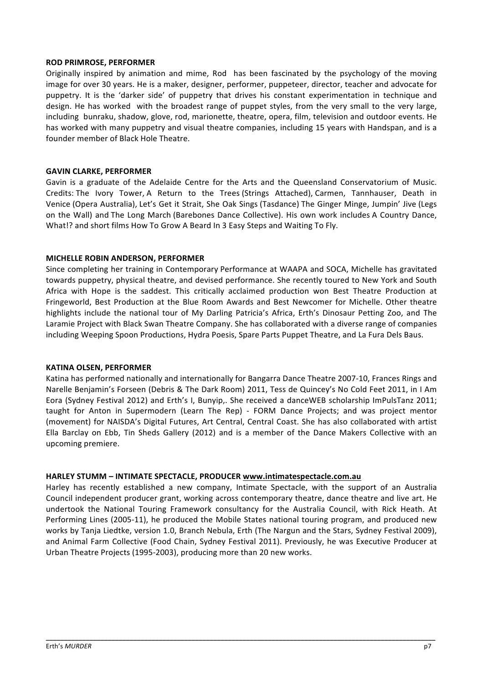#### **ROD PRIMROSE, PERFORMER**

Originally inspired by animation and mime, Rod has been fascinated by the psychology of the moving image for over 30 years. He is a maker, designer, performer, puppeteer, director, teacher and advocate for puppetry. It is the 'darker side' of puppetry that drives his constant experimentation in technique and design. He has worked with the broadest range of puppet styles, from the very small to the very large, including bunraku, shadow, glove, rod, marionette, theatre, opera, film, television and outdoor events. He has worked with many puppetry and visual theatre companies, including 15 years with Handspan, and is a founder member of Black Hole Theatre.

#### **GAVIN CLARKE, PERFORMER**

Gavin is a graduate of the Adelaide Centre for the Arts and the Queensland Conservatorium of Music. Credits: The Ivory Tower, A Return to the Trees (Strings Attached), Carmen, Tannhauser, Death in Venice (Opera Australia), Let's Get it Strait, She Oak Sings (Tasdance) The Ginger Minge, Jumpin' Jive (Legs on the Wall) and The Long March (Barebones Dance Collective). His own work includes A Country Dance, What!? and short films How To Grow A Beard In 3 Easy Steps and Waiting To Fly.

#### **MICHELLE ROBIN ANDERSON, PERFORMER**

Since completing her training in Contemporary Performance at WAAPA and SOCA, Michelle has gravitated towards puppetry, physical theatre, and devised performance. She recently toured to New York and South Africa with Hope is the saddest. This critically acclaimed production won Best Theatre Production at Fringeworld, Best Production at the Blue Room Awards and Best Newcomer for Michelle. Other theatre highlights include the national tour of My Darling Patricia's Africa, Erth's Dinosaur Petting Zoo, and The Laramie Project with Black Swan Theatre Company. She has collaborated with a diverse range of companies including Weeping Spoon Productions, Hydra Poesis, Spare Parts Puppet Theatre, and La Fura Dels Baus.

#### **KATINA OLSEN, PERFORMER**

Katina has performed nationally and internationally for Bangarra Dance Theatre 2007‐10, Frances Rings and Narelle Benjamin's Forseen (Debris & The Dark Room) 2011, Tess de Quincey's No Cold Feet 2011, in I Am Eora (Sydney Festival 2012) and Erth's I, Bunyip,. She received a danceWEB scholarship ImPulsTanz 2011; taught for Anton in Supermodern (Learn The Rep) - FORM Dance Projects; and was project mentor (movement) for NAISDA's Digital Futures, Art Central, Central Coast. She has also collaborated with artist Ella Barclay on Ebb, Tin Sheds Gallery (2012) and is a member of the Dance Makers Collective with an upcoming premiere.

#### **HARLEY STUMM – INTIMATE SPECTACLE, PRODUCER www.intimatespectacle.com.au**

Harley has recently established a new company, Intimate Spectacle, with the support of an Australia Council independent producer grant, working across contemporary theatre, dance theatre and live art. He undertook the National Touring Framework consultancy for the Australia Council, with Rick Heath. At Performing Lines (2005-11), he produced the Mobile States national touring program, and produced new works by Tanja Liedtke, version 1.0, Branch Nebula, Erth (The Nargun and the Stars, Sydney Festival 2009), and Animal Farm Collective (Food Chain, Sydney Festival 2011). Previously, he was Executive Producer at Urban Theatre Projects (1995‐2003), producing more than 20 new works.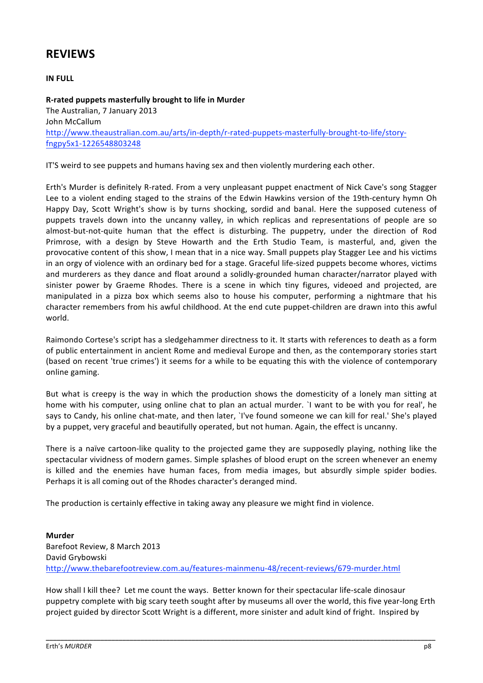# **REVIEWS**

**IN FULL**

#### **R‐rated puppets masterfully brought to life in Murder**

The Australian, 7 January 2013 John McCallum http://www.theaustralian.com.au/arts/in‐depth/r‐rated‐puppets‐masterfully‐brought‐to‐life/story‐ fngpy5x1‐1226548803248

IT'S weird to see puppets and humans having sex and then violently murdering each other.

Erth's Murder is definitely R‐rated. From a very unpleasant puppet enactment of Nick Cave's song Stagger Lee to a violent ending staged to the strains of the Edwin Hawkins version of the 19th-century hymn Oh Happy Day, Scott Wright's show is by turns shocking, sordid and banal. Here the supposed cuteness of puppets travels down into the uncanny valley, in which replicas and representations of people are so almost-but-not-quite human that the effect is disturbing. The puppetry, under the direction of Rod Primrose, with a design by Steve Howarth and the Erth Studio Team, is masterful, and, given the provocative content of this show, I mean that in a nice way. Small puppets play Stagger Lee and his victims in an orgy of violence with an ordinary bed for a stage. Graceful life‐sized puppets become whores, victims and murderers as they dance and float around a solidly-grounded human character/narrator played with sinister power by Graeme Rhodes. There is a scene in which tiny figures, videoed and projected, are manipulated in a pizza box which seems also to house his computer, performing a nightmare that his character remembers from his awful childhood. At the end cute puppet‐children are drawn into this awful world.

Raimondo Cortese's script has a sledgehammer directness to it. It starts with references to death as a form of public entertainment in ancient Rome and medieval Europe and then, as the contemporary stories start (based on recent 'true crimes') it seems for a while to be equating this with the violence of contemporary online gaming.

But what is creepy is the way in which the production shows the domesticity of a lonely man sitting at home with his computer, using online chat to plan an actual murder. `I want to be with you for real', he says to Candy, his online chat-mate, and then later, `I've found someone we can kill for real.' She's played by a puppet, very graceful and beautifully operated, but not human. Again, the effect is uncanny.

There is a naïve cartoon-like quality to the projected game they are supposedly playing, nothing like the spectacular vividness of modern games. Simple splashes of blood erupt on the screen whenever an enemy is killed and the enemies have human faces, from media images, but absurdly simple spider bodies. Perhaps it is all coming out of the Rhodes character's deranged mind.

The production is certainly effective in taking away any pleasure we might find in violence.

**Murder** Barefoot Review, 8 March 2013 David Grybowski http://www.thebarefootreview.com.au/features‐mainmenu‐48/recent‐reviews/679‐murder.html

How shall I kill thee? Let me count the ways. Better known for their spectacular life‐scale dinosaur puppetry complete with big scary teeth sought after by museums all over the world, this five year‐long Erth project guided by director Scott Wright is a different, more sinister and adult kind of fright. Inspired by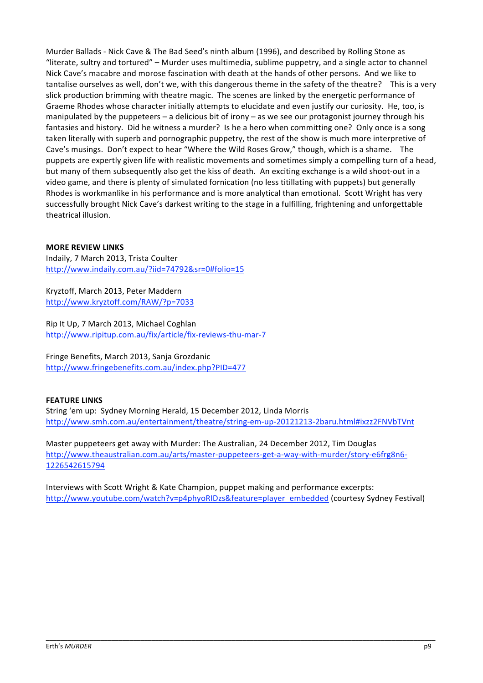Murder Ballads ‐ Nick Cave & The Bad Seed's ninth album (1996), and described by Rolling Stone as "literate, sultry and tortured" – Murder uses multimedia, sublime puppetry, and a single actor to channel Nick Cave's macabre and morose fascination with death at the hands of other persons. And we like to tantalise ourselves as well, don't we, with this dangerous theme in the safety of the theatre? This is a very slick production brimming with theatre magic. The scenes are linked by the energetic performance of Graeme Rhodes whose character initially attempts to elucidate and even justify our curiosity. He, too, is manipulated by the puppeteers – a delicious bit of irony – as we see our protagonist journey through his fantasies and history. Did he witness a murder? Is he a hero when committing one? Only once is a song taken literally with superb and pornographic puppetry, the rest of the show is much more interpretive of Cave's musings. Don't expect to hear "Where the Wild Roses Grow," though, which is a shame. The puppets are expertly given life with realistic movements and sometimes simply a compelling turn of a head, but many of them subsequently also get the kiss of death. An exciting exchange is a wild shoot‐out in a video game, and there is plenty of simulated fornication (no less titillating with puppets) but generally Rhodes is workmanlike in his performance and is more analytical than emotional. Scott Wright has very successfully brought Nick Cave's darkest writing to the stage in a fulfilling, frightening and unforgettable theatrical illusion.

#### **MORE REVIEW LINKS**

Indaily, 7 March 2013, Trista Coulter http://www.indaily.com.au/?iid=74792&sr=0#folio=15

Kryztoff, March 2013, Peter Maddern http://www.kryztoff.com/RAW/?p=7033

Rip It Up, 7 March 2013, Michael Coghlan http://www.ripitup.com.au/fix/article/fix‐reviews‐thu‐mar‐7

Fringe Benefits, March 2013, Sanja Grozdanic http://www.fringebenefits.com.au/index.php?PID=477

#### **FEATURE LINKS**

String 'em up:Sydney Morning Herald, 15 December 2012, Linda Morris http://www.smh.com.au/entertainment/theatre/string‐em‐up‐20121213‐2baru.html#ixzz2FNVbTVnt

Master puppeteers get away with Murder: The Australian, 24 December 2012, Tim Douglas http://www.theaustralian.com.au/arts/master-puppeteers-get-a-way-with-murder/story-e6frg8n6-1226542615794

Interviews with Scott Wright & Kate Champion, puppet making and performance excerpts: http://www.youtube.com/watch?v=p4phyoRIDzs&feature=player\_embedded (courtesy Sydney Festival)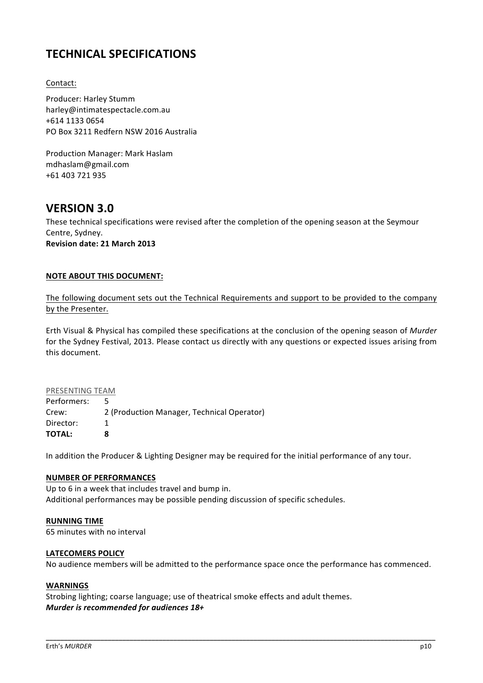# **TECHNICAL SPECIFICATIONS**

#### Contact:

Producer: Harley Stumm harley@intimatespectacle.com.au +614 1133 0654 PO Box 3211 Redfern NSW 2016 Australia

Production Manager: Mark Haslam mdhaslam@gmail.com +61 403 721 935

### **VERSION 3.0**

These technical specifications were revised after the completion of the opening season at the Seymour Centre, Sydney. **Revision date: 21 March 2013**

#### **NOTE ABOUT THIS DOCUMENT:**

The following document sets out the Technical Requirements and support to be provided to the company by the Presenter.

Erth Visual & Physical has compiled these specifications at the conclusion of the opening season of *Murder*  for the Sydney Festival, 2013. Please contact us directly with any questions or expected issues arising from this document.

#### PRESENTING TEAM

Performers: 5 Crew: 2 (Production Manager, Technical Operator) Director: 1 **TOTAL: 8**

In addition the Producer & Lighting Designer may be required for the initial performance of any tour.

#### **NUMBER OF PERFORMANCES**

Up to 6 in a week that includes travel and bump in. Additional performances may be possible pending discussion of specific schedules.

#### **RUNNING TIME**

65 minutes with no interval

#### **LATECOMERS POLICY**

No audience members will be admitted to the performance space once the performance has commenced.

\_\_\_\_\_\_\_\_\_\_\_\_\_\_\_\_\_\_\_\_\_\_\_\_\_\_\_\_\_\_\_\_\_\_\_\_\_\_\_\_\_\_\_\_\_\_\_\_\_\_\_\_\_\_\_\_\_\_\_\_\_\_\_\_\_\_\_\_\_\_\_\_\_\_\_\_\_\_\_\_\_\_\_\_\_\_\_\_\_\_\_\_\_\_\_\_\_\_\_\_\_\_\_\_\_\_\_

#### **WARNINGS**

Strobing lighting; coarse language; use of theatrical smoke effects and adult themes. *Murder is recommended for audiences 18+*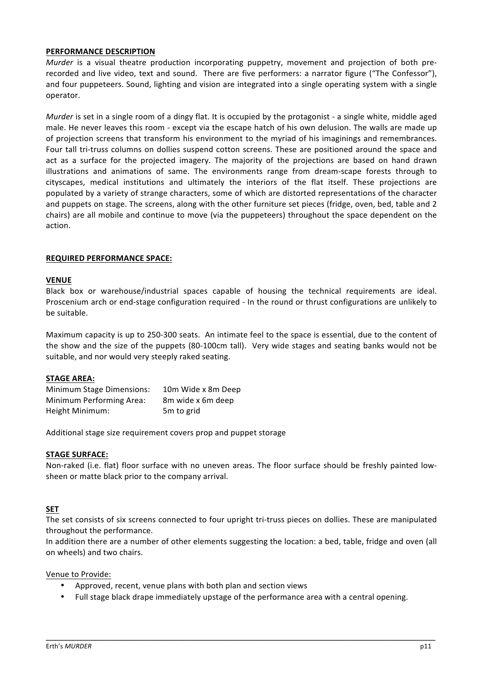#### **PERFORMANCE DESCRIPTION**

*Murder* is a visual theatre production incorporating puppetry, movement and projection of both prerecorded and live video, text and sound. There are five performers: a narrator figure ("The Confessor"), and four puppeteers. Sound, lighting and vision are integrated into a single operating system with a single operator.

*Murder* is set in a single room of a dingy flat. It is occupied by the protagonist - a single white, middle aged male. He never leaves this room ‐ except via the escape hatch of his own delusion. The walls are made up of projection screens that transform his environment to the myriad of his imaginings and remembrances. Four tall tri-truss columns on dollies suspend cotton screens. These are positioned around the space and act as a surface for the projected imagery. The majority of the projections are based on hand drawn illustrations and animations of same. The environments range from dream-scape forests through to cityscapes, medical institutions and ultimately the interiors of the flat itself. These projections are populated by a variety of strange characters, some of which are distorted representations of the character and puppets on stage. The screens, along with the other furniture set pieces (fridge, oven, bed, table and 2 chairs) are all mobile and continue to move (via the puppeteers) throughout the space dependent on the action.

#### **REQUIRED PERFORMANCE SPACE:**

#### **VENUE**

Black box or warehouse/industrial spaces capable of housing the technical requirements are ideal. Proscenium arch or end‐stage configuration required ‐ In the round or thrust configurations are unlikely to be suitable.

Maximum capacity is up to 250‐300 seats. An intimate feel to the space is essential, due to the content of the show and the size of the puppets (80‐100cm tall). Very wide stages and seating banks would not be suitable, and nor would very steeply raked seating.

#### **STAGE AREA:**

| <b>Minimum Stage Dimensions:</b> | 10m Wide x 8m Deep     |
|----------------------------------|------------------------|
| Minimum Performing Area:         | 8m wide x 6m deep      |
| Height Minimum:                  | 5 <sub>m</sub> to grid |

Additional stage size requirement covers prop and puppet storage

#### **STAGE SURFACE:**

Non-raked (i.e. flat) floor surface with no uneven areas. The floor surface should be freshly painted lowsheen or matte black prior to the company arrival.

#### **SET**

The set consists of six screens connected to four upright tri-truss pieces on dollies. These are manipulated throughout the performance.

In addition there are a number of other elements suggesting the location: a bed, table, fridge and oven (all on wheels) and two chairs.

Venue to Provide:

- Approved, recent, venue plans with both plan and section views
- Full stage black drape immediately upstage of the performance area with a central opening.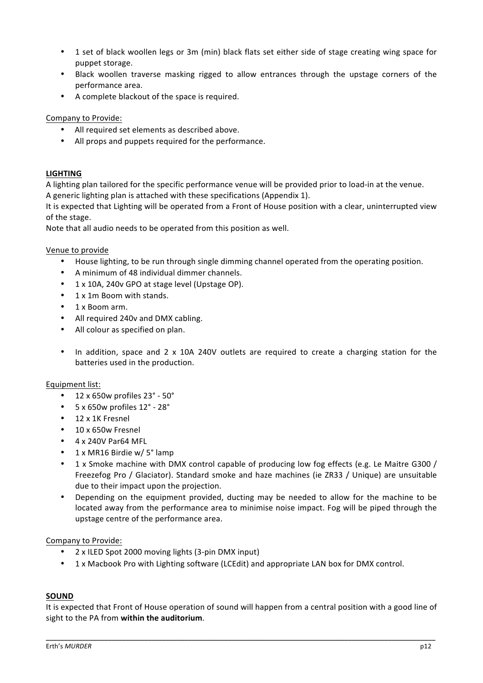- 1 set of black woollen legs or 3m (min) black flats set either side of stage creating wing space for puppet storage.
- Black woollen traverse masking rigged to allow entrances through the upstage corners of the performance area.
- A complete blackout of the space is required.

#### Company to Provide:

- All required set elements as described above.
- All props and puppets required for the performance.

#### **LIGHTING**

A lighting plan tailored for the specific performance venue will be provided prior to load‐in at the venue. A generic lighting plan is attached with these specifications (Appendix 1).

It is expected that Lighting will be operated from a Front of House position with a clear, uninterrupted view of the stage.

Note that all audio needs to be operated from this position as well.

#### Venue to provide

- House lighting, to be run through single dimming channel operated from the operating position.
- A minimum of 48 individual dimmer channels.
- 1 x 10A, 240v GPO at stage level (Upstage OP).
- 1 x 1m Boom with stands.
- 1 x Boom arm.
- All required 240v and DMX cabling.
- All colour as specified on plan.
- In addition, space and 2 x 10A 240V outlets are required to create a charging station for the batteries used in the production.

#### Equipment list:

- 12 x 650w profiles 23° ‐ 50°
- 5 x 650w profiles 12° ‐ 28°
- 12 x 1K Fresnel
- 10 x 650w Fresnel
- 4 x 240V Par64 MFL
- 1 x MR16 Birdie w/ 5° lamp
- 1 x Smoke machine with DMX control capable of producing low fog effects (e.g. Le Maitre G300 / Freezefog Pro / Glaciator). Standard smoke and haze machines (ie ZR33 / Unique) are unsuitable due to their impact upon the projection.
- Depending on the equipment provided, ducting may be needed to allow for the machine to be located away from the performance area to minimise noise impact. Fog will be piped through the upstage centre of the performance area.

#### Company to Provide:

- 2 x ILED Spot 2000 moving lights (3-pin DMX input)
- 1 x Macbook Pro with Lighting software (LCEdit) and appropriate LAN box for DMX control.

#### **SOUND**

It is expected that Front of House operation of sound will happen from a central position with a good line of sight to the PA from **within the auditorium**.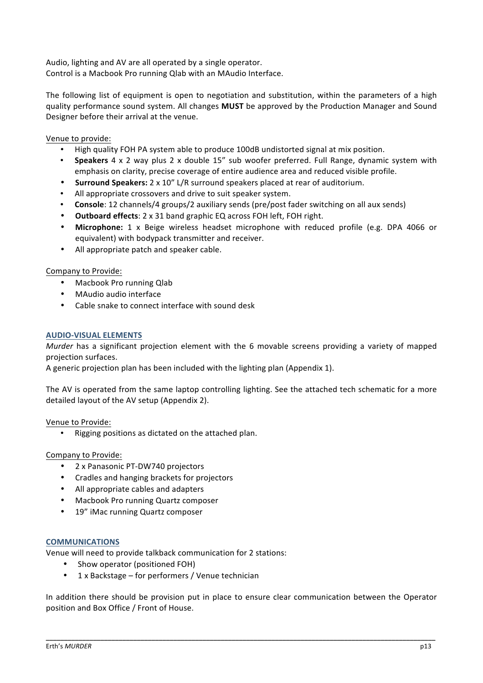Audio, lighting and AV are all operated by a single operator. Control is a Macbook Pro running Qlab with an MAudio Interface.

The following list of equipment is open to negotiation and substitution, within the parameters of a high quality performance sound system. All changes **MUST** be approved by the Production Manager and Sound Designer before their arrival at the venue.

Venue to provide:

- High quality FOH PA system able to produce 100dB undistorted signal at mix position.
- **Speakers** 4 x 2 way plus 2 x double 15" sub woofer preferred. Full Range, dynamic system with emphasis on clarity, precise coverage of entire audience area and reduced visible profile.
- **Surround Speakers:** 2 x 10" L/R surround speakers placed at rear of auditorium.
- All appropriate crossovers and drive to suit speaker system.
- **Console**: 12 channels/4 groups/2 auxiliary sends (pre/post fader switching on all aux sends)
- **Outboard effects**: 2 x 31 band graphic EQ across FOH left, FOH right.
- **Microphone:**  1 x Beige wireless headset microphone with reduced profile (e.g. DPA 4066 or equivalent) with bodypack transmitter and receiver.
- All appropriate patch and speaker cable.

#### Company to Provide:

- Macbook Pro running Qlab
- MAudio audio interface
- Cable snake to connect interface with sound desk

#### **AUDIO‐VISUAL ELEMENTS**

*Murder* has a significant projection element with the 6 movable screens providing a variety of mapped projection surfaces.

A generic projection plan has been included with the lighting plan (Appendix 1).

The AV is operated from the same laptop controlling lighting. See the attached tech schematic for a more detailed layout of the AV setup (Appendix 2).

#### Venue to Provide:

• Rigging positions as dictated on the attached plan.

#### Company to Provide:

- 2 x Panasonic PT‐DW740 projectors
- Cradles and hanging brackets for projectors
- All appropriate cables and adapters
- Macbook Pro running Quartz composer
- 19" iMac running Quartz composer

#### **COMMUNICATIONS**

Venue will need to provide talkback communication for 2 stations:

- Show operator (positioned FOH)
- 1 x Backstage for performers / Venue technician

In addition there should be provision put in place to ensure clear communication between the Operator position and Box Office / Front of House.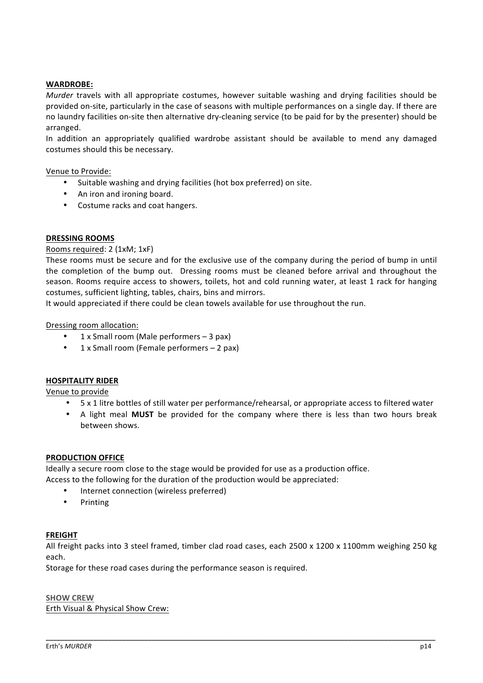#### **WARDROBE:**

*Murder* travels with all appropriate costumes, however suitable washing and drying facilities should be provided on‐site, particularly in the case of seasons with multiple performances on a single day. If there are no laundry facilities on‐site then alternative dry‐cleaning service (to be paid for by the presenter) should be arranged.

In addition an appropriately qualified wardrobe assistant should be available to mend any damaged costumes should this be necessary.

#### Venue to Provide:

- Suitable washing and drying facilities (hot box preferred) on site.
- An iron and ironing board.
- Costume racks and coat hangers.

#### **DRESSING ROOMS**

#### Rooms required: 2 (1xM; 1xF)

These rooms must be secure and for the exclusive use of the company during the period of bump in until the completion of the bump out. Dressing rooms must be cleaned before arrival and throughout the season. Rooms require access to showers, toilets, hot and cold running water, at least 1 rack for hanging costumes, sufficient lighting, tables, chairs, bins and mirrors.

It would appreciated if there could be clean towels available for use throughout the run.

#### Dressing room allocation:

- $1 \times$  Small room (Male performers  $-3$  pax)
- 1 x Small room (Female performers 2 pax)

#### **HOSPITALITY RIDER**

Venue to provide

- 5 x 1 litre bottles of still water per performance/rehearsal, or appropriate access to filtered water
- A light meal **MUST** be provided for the company where there is less than two hours break between shows.

#### **PRODUCTION OFFICE**

Ideally a secure room close to the stage would be provided for use as a production office.

Access to the following for the duration of the production would be appreciated:

- Internet connection (wireless preferred)
- Printing

#### **FREIGHT**

All freight packs into 3 steel framed, timber clad road cases, each 2500 x 1200 x 1100mm weighing 250 kg each.

\_\_\_\_\_\_\_\_\_\_\_\_\_\_\_\_\_\_\_\_\_\_\_\_\_\_\_\_\_\_\_\_\_\_\_\_\_\_\_\_\_\_\_\_\_\_\_\_\_\_\_\_\_\_\_\_\_\_\_\_\_\_\_\_\_\_\_\_\_\_\_\_\_\_\_\_\_\_\_\_\_\_\_\_\_\_\_\_\_\_\_\_\_\_\_\_\_\_\_\_\_\_\_\_\_\_\_

Storage for these road cases during the performance season is required.

#### **SHOW CREW** Erth Visual & Physical Show Crew: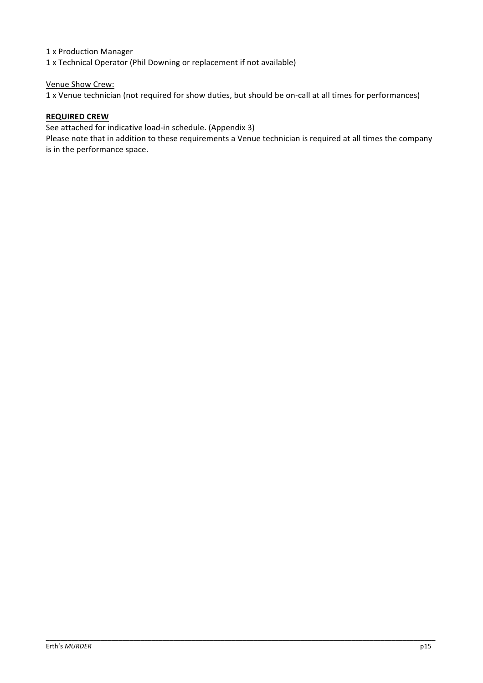1 x Production Manager

1 x Technical Operator (Phil Downing or replacement if not available)

#### Venue Show Crew:

1 x Venue technician (not required for show duties, but should be on‐call at all times for performances)

#### **REQUIRED CREW**

See attached for indicative load‐in schedule. (Appendix 3)

Please note that in addition to these requirements a Venue technician is required at all times the company is in the performance space.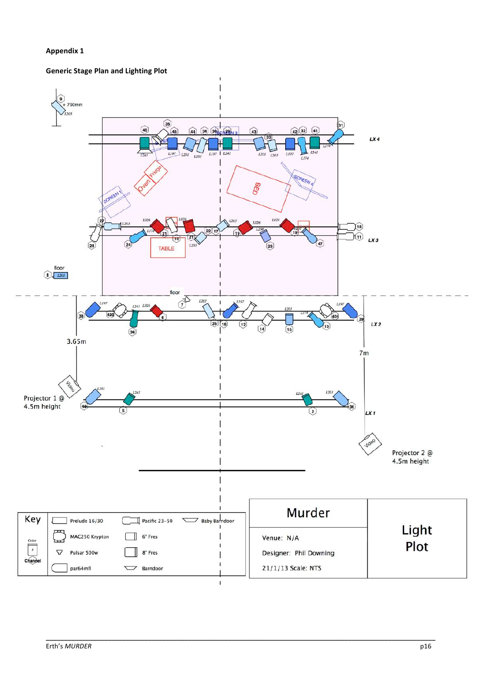#### **Appendix 1**

#### **Generic Stage Plan and Lighting Plot**

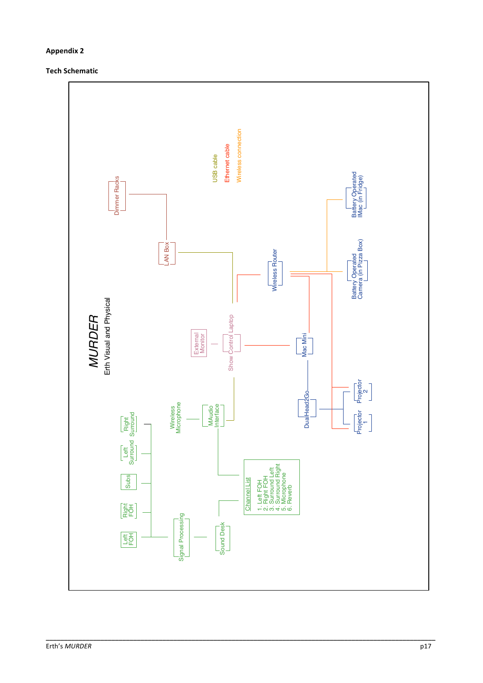#### **Appendix 2**

#### **Tech Schematic**